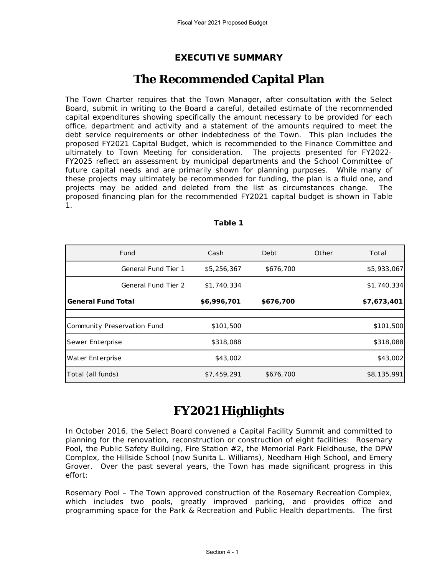## **EXECUTIVE SUMMARY**

## **The Recommended Capital Plan**

The Town Charter requires that the Town Manager, after consultation with the Select Board, submit in writing to the Board a careful, detailed estimate of the recommended capital expenditures showing specifically the amount necessary to be provided for each office, department and activity and a statement of the amounts required to meet the debt service requirements or other indebtedness of the Town. This plan includes the proposed FY2021 Capital Budget, which is recommended to the Finance Committee and ultimately to Town Meeting for consideration. The projects presented for FY2022- FY2025 reflect an assessment by municipal departments and the School Committee of future capital needs and are primarily shown for planning purposes. While many of these projects may ultimately be recommended for funding, the plan is a fluid one, and projects may be added and deleted from the list as circumstances change. The proposed financing plan for the recommended FY2021 capital budget is shown in Table 1.

| Fund                        | Cash        | Debt      | Other | Total       |
|-----------------------------|-------------|-----------|-------|-------------|
| <b>General Fund Tier 1</b>  | \$5,256,367 | \$676,700 |       | \$5,933,067 |
| General Fund Tier 2         | \$1,740,334 |           |       | \$1,740,334 |
| <b>General Fund Total</b>   | \$6,996,701 | \$676,700 |       | \$7,673,401 |
|                             |             |           |       |             |
| Community Preservation Fund | \$101,500   |           |       | \$101,500   |
| Sewer Enterprise            | \$318,088   |           |       | \$318,088   |
| Water Enterprise            | \$43,002    |           |       | \$43,002    |
| Total (all funds)           | \$7,459,291 | \$676,700 |       | \$8,135,991 |

### **Table 1**

# **FY2021 Highlights**

In October 2016, the Select Board convened a Capital Facility Summit and committed to planning for the renovation, reconstruction or construction of eight facilities: Rosemary Pool, the Public Safety Building, Fire Station #2, the Memorial Park Fieldhouse, the DPW Complex, the Hillside School (now Sunita L. Williams), Needham High School, and Emery Grover. Over the past several years, the Town has made significant progress in this effort:

*Rosemary Pool* – The Town approved construction of the Rosemary Recreation Complex, which includes two pools, greatly improved parking, and provides office and programming space for the Park & Recreation and Public Health departments. The first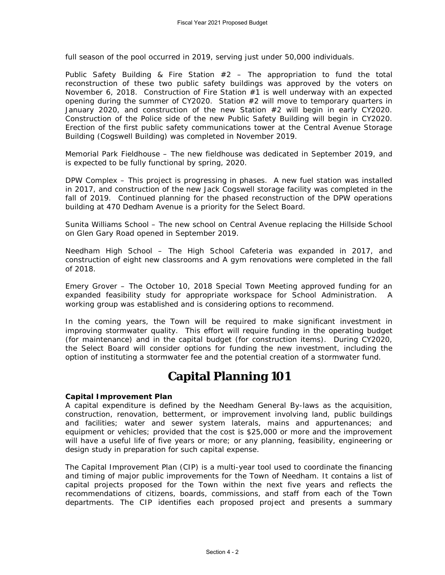full season of the pool occurred in 2019, serving just under 50,000 individuals.

*Public Safety Building & Fire Station #2* – The appropriation to fund the total reconstruction of these two public safety buildings was approved by the voters on November 6, 2018. Construction of Fire Station #1 is well underway with an expected opening during the summer of CY2020. Station #2 will move to temporary quarters in January 2020, and construction of the new Station #2 will begin in early CY2020. Construction of the Police side of the new Public Safety Building will begin in CY2020. Erection of the first public safety communications tower at the Central Avenue Storage Building (Cogswell Building) was completed in November 2019.

*Memorial Park Fieldhouse* – The new fieldhouse was dedicated in September 2019, and is expected to be fully functional by spring, 2020.

*DPW Complex* – This project is progressing in phases. A new fuel station was installed in 2017, and construction of the new Jack Cogswell storage facility was completed in the fall of 2019. Continued planning for the phased reconstruction of the DPW operations building at 470 Dedham Avenue is a priority for the Select Board.

*Sunita Williams School* – The new school on Central Avenue replacing the Hillside School on Glen Gary Road opened in September 2019.

*Needham High School* – The High School Cafeteria was expanded in 2017, and construction of eight new classrooms and A gym renovations were completed in the fall of 2018.

*Emery Grover* – The October 10, 2018 Special Town Meeting approved funding for an expanded feasibility study for appropriate workspace for School Administration. A working group was established and is considering options to recommend.

In the coming years, the Town will be required to make significant investment in improving stormwater quality. This effort will require funding in the operating budget (for maintenance) and in the capital budget (for construction items). During CY2020, the Select Board will consider options for funding the new investment, including the option of instituting a stormwater fee and the potential creation of a stormwater fund.

# **Capital Planning 101**

#### **Capital Improvement Plan**

A capital expenditure is defined by the Needham General By-laws as the acquisition, construction, renovation, betterment, or improvement involving land, public buildings and facilities; water and sewer system laterals, mains and appurtenances; and equipment or vehicles; provided that the cost is \$25,000 or more and the improvement will have a useful life of five years or more; or any planning, feasibility, engineering or design study in preparation for such capital expense.

The Capital Improvement Plan (CIP) is a multi-year tool used to coordinate the financing and timing of major public improvements for the Town of Needham. It contains a list of capital projects proposed for the Town within the next five years and reflects the recommendations of citizens, boards, commissions, and staff from each of the Town departments. The CIP identifies each proposed project and presents a summary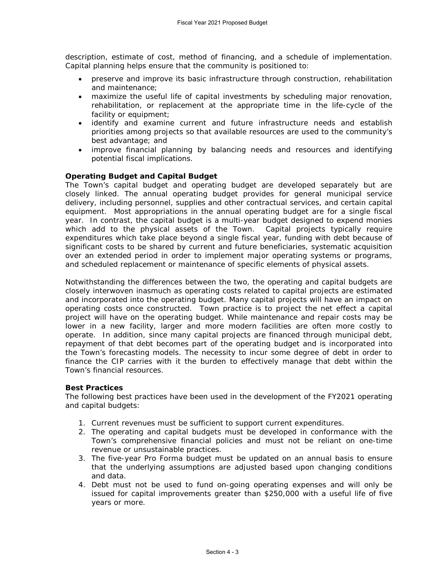description, estimate of cost, method of financing, and a schedule of implementation. Capital planning helps ensure that the community is positioned to:

- preserve and improve its basic infrastructure through construction, rehabilitation and maintenance;
- maximize the useful life of capital investments by scheduling major renovation, rehabilitation, or replacement at the appropriate time in the life-cycle of the facility or equipment;
- identify and examine current and future infrastructure needs and establish priorities among projects so that available resources are used to the community's best advantage; and
- improve financial planning by balancing needs and resources and identifying potential fiscal implications.

#### **Operating Budget and Capital Budget**

The Town's capital budget and operating budget are developed separately but are closely linked. The annual operating budget provides for general municipal service delivery, including personnel, supplies and other contractual services, and certain capital equipment. Most appropriations in the annual operating budget are for a single fiscal year. In contrast, the capital budget is a multi-year budget designed to expend monies which add to the physical assets of the Town. Capital projects typically require expenditures which take place beyond a single fiscal year, funding with debt because of significant costs to be shared by current and future beneficiaries, systematic acquisition over an extended period in order to implement major operating systems or programs, and scheduled replacement or maintenance of specific elements of physical assets.

Notwithstanding the differences between the two, the operating and capital budgets are closely interwoven inasmuch as operating costs related to capital projects are estimated and incorporated into the operating budget. Many capital projects will have an impact on operating costs once constructed. Town practice is to project the net effect a capital project will have on the operating budget. While maintenance and repair costs may be lower in a new facility, larger and more modern facilities are often more costly to operate. In addition, since many capital projects are financed through municipal debt, repayment of that debt becomes part of the operating budget and is incorporated into the Town's forecasting models. The necessity to incur some degree of debt in order to finance the CIP carries with it the burden to effectively manage that debt within the Town's financial resources.

#### **Best Practices**

The following best practices have been used in the development of the FY2021 operating and capital budgets:

- 1. Current revenues must be sufficient to support current expenditures.
- 2. The operating and capital budgets must be developed in conformance with the Town's comprehensive financial policies and must not be reliant on one-time revenue or unsustainable practices.
- 3. The five-year Pro Forma budget must be updated on an annual basis to ensure that the underlying assumptions are adjusted based upon changing conditions and data.
- 4. Debt must not be used to fund on-going operating expenses and will only be issued for capital improvements greater than \$250,000 with a useful life of five years or more.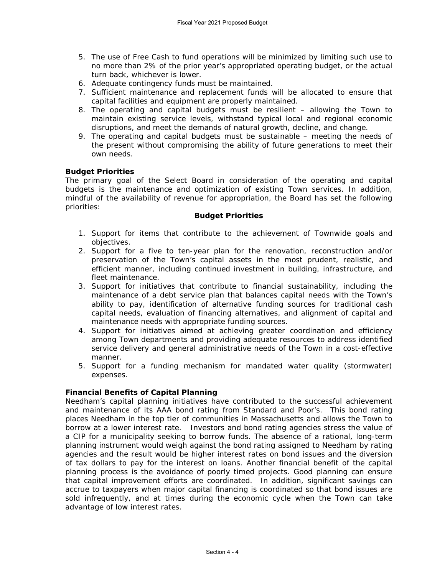- 5. The use of Free Cash to fund operations will be minimized by limiting such use to no more than 2% of the prior year's appropriated operating budget, or the actual turn back, whichever is lower.
- 6. Adequate contingency funds must be maintained.
- 7. Sufficient maintenance and replacement funds will be allocated to ensure that capital facilities and equipment are properly maintained.
- 8. The operating and capital budgets must be resilient allowing the Town to maintain existing service levels, withstand typical local and regional economic disruptions, and meet the demands of natural growth, decline, and change.
- 9. The operating and capital budgets must be sustainable meeting the needs of the present without compromising the ability of future generations to meet their own needs.

#### **Budget Priorities**

The primary goal of the Select Board in consideration of the operating and capital budgets is the maintenance and optimization of existing Town services. In addition, mindful of the availability of revenue for appropriation, the Board has set the following priorities:

#### **Budget Priorities**

- 1. Support for items that contribute to the achievement of Townwide goals and objectives.
- 2. Support for a five to ten-year plan for the renovation, reconstruction and/or preservation of the Town's capital assets in the most prudent, realistic, and efficient manner, including continued investment in building, infrastructure, and fleet maintenance.
- 3. Support for initiatives that contribute to financial sustainability, including the maintenance of a debt service plan that balances capital needs with the Town's ability to pay, identification of alternative funding sources for traditional cash capital needs, evaluation of financing alternatives, and alignment of capital and maintenance needs with appropriate funding sources.
- 4. Support for initiatives aimed at achieving greater coordination and efficiency among Town departments and providing adequate resources to address identified service delivery and general administrative needs of the Town in a cost-effective manner.
- 5. Support for a funding mechanism for mandated water quality (stormwater) expenses.

#### **Financial Benefits of Capital Planning**

Needham's capital planning initiatives have contributed to the successful achievement and maintenance of its AAA bond rating from Standard and Poor's. This bond rating places Needham in the top tier of communities in Massachusetts and allows the Town to borrow at a lower interest rate. Investors and bond rating agencies stress the value of a CIP for a municipality seeking to borrow funds. The absence of a rational, long-term planning instrument would weigh against the bond rating assigned to Needham by rating agencies and the result would be higher interest rates on bond issues and the diversion of tax dollars to pay for the interest on loans. Another financial benefit of the capital planning process is the avoidance of poorly timed projects. Good planning can ensure that capital improvement efforts are coordinated. In addition, significant savings can accrue to taxpayers when major capital financing is coordinated so that bond issues are sold infrequently, and at times during the economic cycle when the Town can take advantage of low interest rates.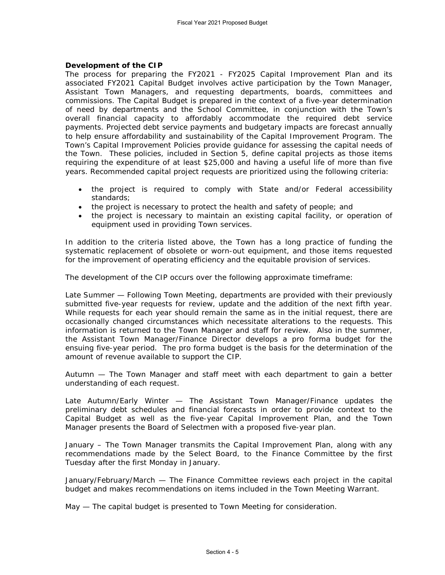#### **Development of the CIP**

The process for preparing the FY2021 - FY2025 Capital Improvement Plan and its associated FY2021 Capital Budget involves active participation by the Town Manager, Assistant Town Managers, and requesting departments, boards, committees and commissions. The Capital Budget is prepared in the context of a five-year determination of need by departments and the School Committee, in conjunction with the Town's overall financial capacity to affordably accommodate the required debt service payments. Projected debt service payments and budgetary impacts are forecast annually to help ensure affordability and sustainability of the Capital Improvement Program. The Town's Capital Improvement Policies provide guidance for assessing the capital needs of the Town. These policies, included in Section 5, define capital projects as those items requiring the expenditure of at least \$25,000 and having a useful life of more than five years. Recommended capital project requests are prioritized using the following criteria:

- the project is required to comply with State and/or Federal accessibility standards;
- the project is necessary to protect the health and safety of people; and
- the project is necessary to maintain an existing capital facility, or operation of equipment used in providing Town services.

In addition to the criteria listed above, the Town has a long practice of funding the systematic replacement of obsolete or worn-out equipment, and those items requested for the improvement of operating efficiency and the equitable provision of services.

The development of the CIP occurs over the following approximate timeframe:

*Late Summer* — Following Town Meeting, departments are provided with their previously submitted five-year requests for review, update and the addition of the next fifth year. While requests for each year should remain the same as in the initial request, there are occasionally changed circumstances which necessitate alterations to the requests. This information is returned to the Town Manager and staff for review. Also in the summer, the Assistant Town Manager/Finance Director develops a pro forma budget for the ensuing five-year period. The pro forma budget is the basis for the determination of the amount of revenue available to support the CIP.

*Autumn —* The Town Manager and staff meet with each department to gain a better understanding of each request.

*Late Autumn/Early Winter* — The Assistant Town Manager/Finance updates the preliminary debt schedules and financial forecasts in order to provide context to the Capital Budget as well as the five-year Capital Improvement Plan, and the Town Manager presents the Board of Selectmen with a proposed five-year plan.

*January* – The Town Manager transmits the Capital Improvement Plan, along with any recommendations made by the Select Board, to the Finance Committee by the first Tuesday after the first Monday in January.

*January/February/March* — The Finance Committee reviews each project in the capital budget and makes recommendations on items included in the Town Meeting Warrant.

*May* — The capital budget is presented to Town Meeting for consideration.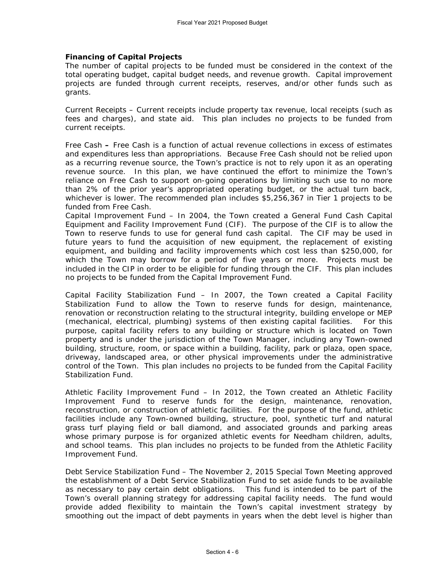#### **Financing of Capital Projects**

The number of capital projects to be funded must be considered in the context of the total operating budget, capital budget needs, and revenue growth. Capital improvement projects are funded through current receipts, reserves, and/or other funds such as grants.

*Current Receipts* – Current receipts include property tax revenue, local receipts (such as fees and charges), and state aid. This plan includes no projects to be funded from current receipts.

*Free Cash –* Free Cash is a function of actual revenue collections in excess of estimates and expenditures less than appropriations. Because Free Cash should not be relied upon as a recurring revenue source, the Town's practice is not to rely upon it as an operating revenue source. In this plan, we have continued the effort to minimize the Town's reliance on Free Cash to support on-going operations by limiting such use to no more than 2% of the prior year's appropriated operating budget, or the actual turn back, whichever is lower. The recommended plan includes \$5,256,367 in Tier 1 projects to be funded from Free Cash.

*Capital Improvement Fund –* In 2004, the Town created a General Fund Cash Capital Equipment and Facility Improvement Fund (CIF). The purpose of the CIF is to allow the Town to reserve funds to use for general fund cash capital. The CIF may be used in future years to fund the acquisition of new equipment, the replacement of existing equipment, and building and facility improvements which cost less than \$250,000, for which the Town may borrow for a period of five years or more. Projects must be included in the CIP in order to be eligible for funding through the CIF. This plan includes no projects to be funded from the Capital Improvement Fund.

*Capital Facility Stabilization Fund –* In 2007, the Town created a Capital Facility Stabilization Fund to allow the Town to reserve funds for design, maintenance, renovation or reconstruction relating to the structural integrity, building envelope or MEP (mechanical, electrical, plumbing) systems of then existing capital facilities.For this purpose, capital facility refers to any building or structure which is located on Town property and is under the jurisdiction of the Town Manager, including any Town-owned building, structure, room, or space within a building, facility, park or plaza, open space, driveway, landscaped area, or other physical improvements under the administrative control of the Town. This plan includes no projects to be funded from the Capital Facility Stabilization Fund.

*Athletic Facility Improvement Fund* – In 2012, the Town created an Athletic Facility Improvement Fund to reserve funds for the design, maintenance, renovation, reconstruction, or construction of athletic facilities. For the purpose of the fund, athletic facilities include any Town-owned building, structure, pool, synthetic turf and natural grass turf playing field or ball diamond, and associated grounds and parking areas whose primary purpose is for organized athletic events for Needham children, adults, and school teams. This plan includes no projects to be funded from the Athletic Facility Improvement Fund.

*Debt Service Stabilization Fund* – The November 2, 2015 Special Town Meeting approved the establishment of a Debt Service Stabilization Fund to set aside funds to be available as necessary to pay certain debt obligations. This fund is intended to be part of the Town's overall planning strategy for addressing capital facility needs. The fund would provide added flexibility to maintain the Town's capital investment strategy by smoothing out the impact of debt payments in years when the debt level is higher than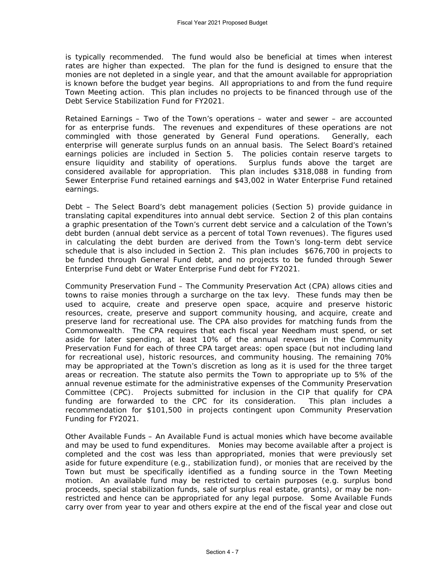is typically recommended. The fund would also be beneficial at times when interest rates are higher than expected. The plan for the fund is designed to ensure that the monies are not depleted in a single year, and that the amount available for appropriation is known before the budget year begins. All appropriations to and from the fund require Town Meeting action. This plan includes no projects to be financed through use of the Debt Service Stabilization Fund for FY2021.

*Retained Earnings* – Two of the Town's operations – water and sewer – are accounted for as enterprise funds. The revenues and expenditures of these operations are not commingled with those generated by General Fund operations. Generally, each enterprise will generate surplus funds on an annual basis. The Select Board's retained earnings policies are included in Section 5. The policies contain reserve targets to ensure liquidity and stability of operations. Surplus funds above the target are considered available for appropriation. This plan includes \$318,088 in funding from Sewer Enterprise Fund retained earnings and \$43,002 in Water Enterprise Fund retained earnings.

*Debt* – The Select Board's debt management policies (Section 5) provide guidance in translating capital expenditures into annual debt service. Section 2 of this plan contains a graphic presentation of the Town's current debt service and a calculation of the Town's debt burden (annual debt service as a percent of total Town revenues). The figures used in calculating the debt burden are derived from the Town's long-term debt service schedule that is also included in Section 2. This plan includes \$676,700 in projects to be funded through General Fund debt, and no projects to be funded through Sewer Enterprise Fund debt or Water Enterprise Fund debt for FY2021.

*Community Preservation Fund –* The Community Preservation Act (CPA) allows cities and towns to raise monies through a surcharge on the tax levy. These funds may then be used to acquire, create and preserve open space, acquire and preserve historic resources, create, preserve and support community housing, and acquire, create and preserve land for recreational use. The CPA also provides for matching funds from the Commonwealth. The CPA requires that each fiscal year Needham must spend, or set aside for later spending, at least 10% of the annual revenues in the Community Preservation Fund for each of three CPA target areas: open space (but not including land for recreational use), historic resources, and community housing. The remaining 70% may be appropriated at the Town's discretion as long as it is used for the three target areas or recreation. The statute also permits the Town to appropriate up to 5% of the annual revenue estimate for the administrative expenses of the Community Preservation Committee (CPC). Projects submitted for inclusion in the CIP that qualify for CPA funding are forwarded to the CPC for its consideration. This plan includes a recommendation for \$101,500 in projects contingent upon Community Preservation Funding for FY2021.

*Other Available Funds* – An Available Fund is actual monies which have become available and may be used to fund expenditures. Monies may become available after a project is completed and the cost was less than appropriated, monies that were previously set aside for future expenditure (e.g., stabilization fund), or monies that are received by the Town but must be specifically identified as a funding source in the Town Meeting motion. An available fund may be restricted to certain purposes (e.g. surplus bond proceeds, special stabilization funds, sale of surplus real estate, grants), or may be nonrestricted and hence can be appropriated for any legal purpose. Some Available Funds carry over from year to year and others expire at the end of the fiscal year and close out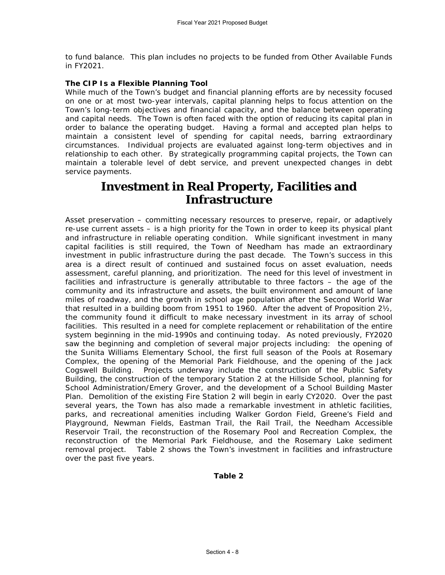to fund balance. This plan includes no projects to be funded from Other Available Funds in FY2021.

#### **The CIP Is a Flexible Planning Tool**

While much of the Town's budget and financial planning efforts are by necessity focused on one or at most two-year intervals, capital planning helps to focus attention on the Town's long-term objectives and financial capacity, and the balance between operating and capital needs. The Town is often faced with the option of reducing its capital plan in order to balance the operating budget. Having a formal and accepted plan helps to maintain a consistent level of spending for capital needs, barring extraordinary circumstances. Individual projects are evaluated against long-term objectives and in relationship to each other. By strategically programming capital projects, the Town can maintain a tolerable level of debt service, and prevent unexpected changes in debt service payments.

## **Investment in Real Property, Facilities and Infrastructure**

Asset preservation – committing necessary resources to preserve, repair, or adaptively re-use current assets – is a high priority for the Town in order to keep its physical plant and infrastructure in reliable operating condition. While significant investment in many capital facilities is still required, the Town of Needham has made an extraordinary investment in public infrastructure during the past decade. The Town's success in this area is a direct result of continued and sustained focus on asset evaluation, needs assessment, careful planning, and prioritization. The need for this level of investment in facilities and infrastructure is generally attributable to three factors – the age of the community and its infrastructure and assets, the built environment and amount of lane miles of roadway, and the growth in school age population after the Second World War that resulted in a building boom from 1951 to 1960. After the advent of Proposition  $2\nu$ , the community found it difficult to make necessary investment in its array of school facilities. This resulted in a need for complete replacement or rehabilitation of the entire system beginning in the mid-1990s and continuing today. As noted previously, FY2020 saw the beginning and completion of several major projects including: the opening of the Sunita Williams Elementary School, the first full season of the Pools at Rosemary Complex, the opening of the Memorial Park Fieldhouse, and the opening of the Jack Cogswell Building. Projects underway include the construction of the Public Safety Building, the construction of the temporary Station 2 at the Hillside School, planning for School Administration/Emery Grover, and the development of a School Building Master Plan. Demolition of the existing Fire Station 2 will begin in early CY2020. Over the past several years, the Town has also made a remarkable investment in athletic facilities, parks, and recreational amenities including Walker Gordon Field, Greene's Field and Playground, Newman Fields, Eastman Trail, the Rail Trail, the Needham Accessible Reservoir Trail, the reconstruction of the Rosemary Pool and Recreation Complex, the reconstruction of the Memorial Park Fieldhouse, and the Rosemary Lake sediment removal project. Table 2 shows the Town's investment in facilities and infrastructure over the past five years.

**Table 2**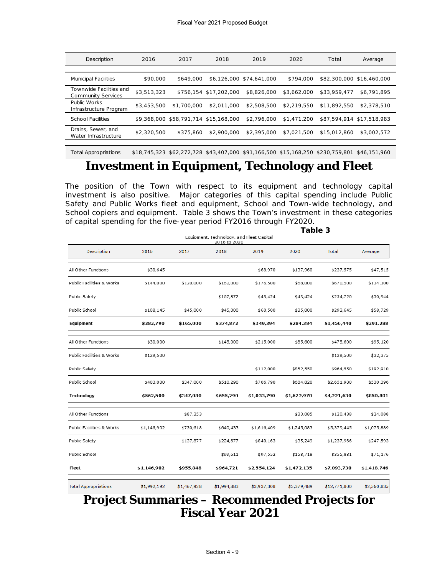| Description                                          | 2016        | 2017                                  | 2018                   | 2019                     | 2020        | Total                                                                          | Average                   |
|------------------------------------------------------|-------------|---------------------------------------|------------------------|--------------------------|-------------|--------------------------------------------------------------------------------|---------------------------|
|                                                      |             |                                       |                        |                          |             |                                                                                |                           |
| <b>Municipal Facilities</b>                          | \$90,000    | \$649,000                             |                        | \$6,126,000 \$74,641,000 | \$794.000   |                                                                                | \$82,300,000 \$16,460,000 |
| Townwide Facilities and<br><b>Community Services</b> | \$3,513,323 |                                       | \$756.154 \$17.202.000 | \$8,826,000              | \$3.662.000 | \$33.959.477                                                                   | \$6,791,895               |
| Public Works<br>Infrastructure Program               | \$3,453,500 | \$1,700,000                           | \$2,011,000            | \$2,508,500              | \$2,219,550 | \$11,892,550                                                                   | \$2,378,510               |
| <b>School Facilities</b>                             |             | \$9,368,000 \$58,791,714 \$15,168,000 |                        | \$2,796,000              | \$1,471,200 |                                                                                | \$87.594.914 \$17.518.983 |
| Drains, Sewer, and<br>Water Infrastructure           | \$2,320,500 | \$375.860                             | \$2,900,000            | \$2,395,000              | \$7.021.500 | \$15,012,860                                                                   | \$3,002,572               |
|                                                      |             |                                       |                        |                          |             |                                                                                |                           |
| <b>Total Appropriations</b>                          |             |                                       |                        |                          |             | \$18,745,323 \$62,272,728 \$43,407,000 \$91,166,500 \$15,168,250 \$230,759,801 | \$46.151.960              |

# **Investment in Equipment, Technology and Fleet**

The position of the Town with respect to its equipment and technology capital investment is also positive. Major categories of this capital spending include Public Safety and Public Works fleet and equipment, School and Town-wide technology, and School copiers and equipment. Table 3 shows the Town's investment in these categories of capital spending for the five-year period FY2016 through FY2020.

|                             | Table 3<br>Equipment, Technology, and Fleet Capital<br>2016 to 2020 |             |             |             |             |              |             |  |
|-----------------------------|---------------------------------------------------------------------|-------------|-------------|-------------|-------------|--------------|-------------|--|
| Description                 | 2016                                                                | 2017        | 2018        | 2019        | 2020        | Total        | Average     |  |
| All Other Functions         | \$30,645                                                            |             |             | \$68,970    | \$137,960   | \$237,575    | \$47,515    |  |
| Public Facilities & Works   | \$144,000                                                           | \$120,000   | \$162,000   | \$176,500   | \$68,000    | \$670,500    | \$134,100   |  |
| Public Safety               |                                                                     |             | \$167,872   | \$43,424    | \$43,424    | \$254,720    | \$50,944    |  |
| Public School               | \$108,145                                                           | \$45,000    | \$45,000    | \$60,500    | \$35,000    | \$293,645    | \$58,729    |  |
| Equipment                   | \$282,790                                                           | \$165,000   | \$374,872   | \$349,394   | \$284,384   | \$1,456,440  | \$291,288   |  |
| All Other Functions         | \$30,000                                                            |             | \$145,000   | \$215,000   | \$85,600    | \$475,600    | \$95,120    |  |
| Public Facilities & Works   | \$129,500                                                           |             |             |             |             | \$129,500    | \$32,375    |  |
| Public Safety               |                                                                     |             |             | \$112,000   | \$852,550   | \$964,550    | \$192,910   |  |
| Public School               | \$403,000                                                           | \$347,080   | \$510,290   | \$706,790   | \$684,820   | \$2,651,980  | \$530,396   |  |
| Technology                  | \$562,500                                                           | \$347,080   | \$655,290   | \$1,033,790 | \$1,622,970 | \$4,221,630  | \$850,801   |  |
| All Other Functions         |                                                                     | \$87,353    |             |             | \$33,085    | \$120,438    | \$24,088    |  |
| Public Facilities & Works   | \$1,146,902                                                         | \$730,618   | \$640,433   | \$1,616,409 | \$1,245,083 | \$5,379,445  | \$1,075,889 |  |
| Public Safety               |                                                                     | \$137,877   | \$224,677   | \$840,163   | \$35,249    | \$1,237,966  | \$247,593   |  |
| Public School               |                                                                     |             | \$99,611    | \$97,552    | \$158,718   | \$355,881    | \$71,176    |  |
| Fleet                       | \$1,146,902                                                         | \$955,848   | \$964,721   | \$2,554,124 | \$1,472,135 | \$7,093,730  | \$1,418,746 |  |
| <b>Total Appropriations</b> | \$1,992,192                                                         | \$1,467,928 | \$1,994,883 | \$3,937,308 | \$3,379,489 | \$12,771,800 | \$2,560,835 |  |

# **Project Summaries – Recommended Projects for Fiscal Year 2021**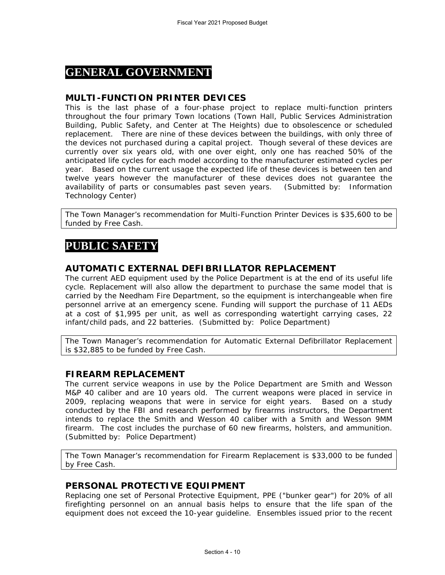## **GENERAL GOVERNMENT**

### **MULTI-FUNCTION PRINTER DEVICES**

This is the last phase of a four-phase project to replace multi-function printers throughout the four primary Town locations (Town Hall, Public Services Administration Building, Public Safety, and Center at The Heights) due to obsolescence or scheduled replacement. There are nine of these devices between the buildings, with only three of the devices not purchased during a capital project. Though several of these devices are currently over six years old, with one over eight, only one has reached 50% of the anticipated life cycles for each model according to the manufacturer estimated cycles per year. Based on the current usage the expected life of these devices is between ten and twelve years however the manufacturer of these devices does not guarantee the availability of parts or consumables past seven years. *(Submitted by: Information Technology Center)*

The Town Manager's recommendation for Multi-Function Printer Devices is \$35,600 to be funded by Free Cash.

## **PUBLIC SAFETY**

### **AUTOMATIC EXTERNAL DEFIBRILLATOR REPLACEMENT**

The current AED equipment used by the Police Department is at the end of its useful life cycle. Replacement will also allow the department to purchase the same model that is carried by the Needham Fire Department, so the equipment is interchangeable when fire personnel arrive at an emergency scene. Funding will support the purchase of 11 AEDs at a cost of \$1,995 per unit, as well as corresponding watertight carrying cases, 22 infant/child pads, and 22 batteries. *(Submitted by: Police Department)*

The Town Manager's recommendation for Automatic External Defibrillator Replacement is \$32,885 to be funded by Free Cash.

#### **FIREARM REPLACEMENT**

The current service weapons in use by the Police Department are Smith and Wesson M&P 40 caliber and are 10 years old. The current weapons were placed in service in 2009, replacing weapons that were in service for eight years. Based on a study conducted by the FBI and research performed by firearms instructors, the Department intends to replace the Smith and Wesson 40 caliber with a Smith and Wesson 9MM firearm. The cost includes the purchase of 60 new firearms, holsters, and ammunition. *(Submitted by: Police Department)*

The Town Manager's recommendation for Firearm Replacement is \$33,000 to be funded by Free Cash.

### **PERSONAL PROTECTIVE EQUIPMENT**

Replacing one set of Personal Protective Equipment, PPE ("bunker gear") for 20% of all firefighting personnel on an annual basis helps to ensure that the life span of the equipment does not exceed the 10-year guideline. Ensembles issued prior to the recent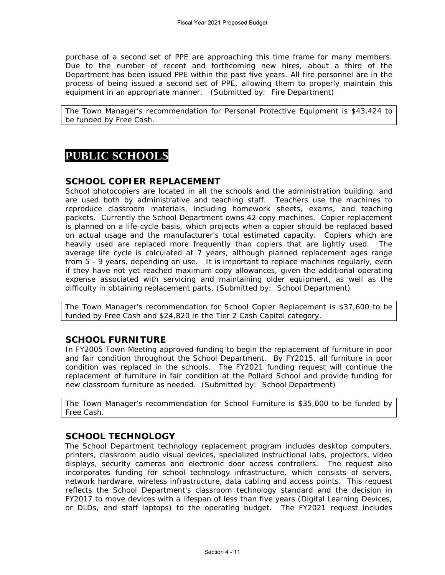purchase of a second set of PPE are approaching this time frame for many members. Due to the number of recent and forthcoming new hires, about a third of the Department has been issued PPE within the past five years. All fire personnel are in the process of being issued a second set of PPE, allowing them to properly maintain this equipment in an appropriate manner. *(Submitted by: Fire Department)*

The Town Manager's recommendation for Personal Protective Equipment is \$43,424 to be funded by Free Cash.

## **PUBLIC SCHOOLS**

### **SCHOOL COPIER REPLACEMENT**

School photocopiers are located in all the schools and the administration building, and are used both by administrative and teaching staff. Teachers use the machines to reproduce classroom materials, including homework sheets, exams, and teaching packets. Currently the School Department owns 42 copy machines. Copier replacement is planned on a life-cycle basis, which projects when a copier should be replaced based on actual usage and the manufacturer's total estimated capacity. Copiers which are heavily used are replaced more frequently than copiers that are lightly used. The average life cycle is calculated at 7 years, although planned replacement ages range from 5 - 9 years, depending on use. It is important to replace machines regularly, even if they have not yet reached maximum copy allowances, given the additional operating expense associated with servicing and maintaining older equipment, as well as the difficulty in obtaining replacement parts. *(Submitted by: School Department)*

The Town Manager's recommendation for School Copier Replacement is \$37,600 to be funded by Free Cash and \$24,820 in the Tier 2 Cash Capital category.

## **SCHOOL FURNITURE**

In FY2005 Town Meeting approved funding to begin the replacement of furniture in poor and fair condition throughout the School Department. By FY2015, all furniture in poor condition was replaced in the schools. The FY2021 funding request will continue the replacement of furniture in fair condition at the Pollard School and provide funding for new classroom furniture as needed. *(Submitted by: School Department)*

The Town Manager's recommendation for School Furniture is \$35,000 to be funded by Free Cash.

## **SCHOOL TECHNOLOGY**

The School Department technology replacement program includes desktop computers, printers, classroom audio visual devices, specialized instructional labs, projectors, video displays, security cameras and electronic door access controllers. The request also incorporates funding for school technology infrastructure, which consists of servers, network hardware, wireless infrastructure, data cabling and access points. This request reflects the School Department's classroom technology standard and the decision in FY2017 to move devices with a lifespan of less than five years (Digital Learning Devices, or DLDs, and staff laptops) to the operating budget. The FY2021 request includes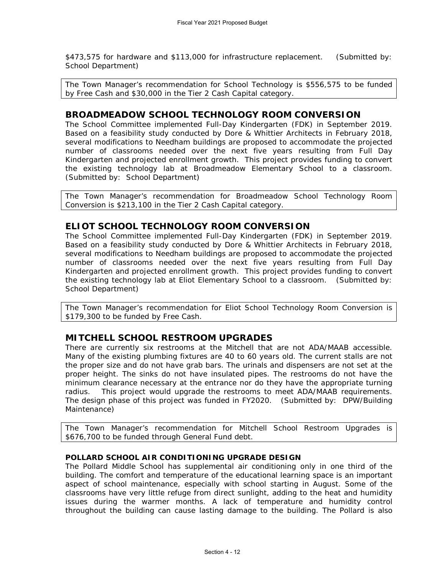\$473,575 for hardware and \$113,000 for infrastructure replacement. *(Submitted by: School Department)*

The Town Manager's recommendation for School Technology is \$556,575 to be funded by Free Cash and \$30,000 in the Tier 2 Cash Capital category.

### **BROADMEADOW SCHOOL TECHNOLOGY ROOM CONVERSION**

The School Committee implemented Full-Day Kindergarten (FDK) in September 2019. Based on a feasibility study conducted by Dore & Whittier Architects in February 2018, several modifications to Needham buildings are proposed to accommodate the projected number of classrooms needed over the next five years resulting from Full Day Kindergarten and projected enrollment growth. This project provides funding to convert the existing technology lab at Broadmeadow Elementary School to a classroom. *(Submitted by: School Department)* 

The Town Manager's recommendation for Broadmeadow School Technology Room Conversion is \$213,100 in the Tier 2 Cash Capital category.

### **ELIOT SCHOOL TECHNOLOGY ROOM CONVERSION**

The School Committee implemented Full-Day Kindergarten (FDK) in September 2019. Based on a feasibility study conducted by Dore & Whittier Architects in February 2018, several modifications to Needham buildings are proposed to accommodate the projected number of classrooms needed over the next five years resulting from Full Day Kindergarten and projected enrollment growth. This project provides funding to convert the existing technology lab at Eliot Elementary School to a classroom. *(Submitted by: School Department)* 

The Town Manager's recommendation for Eliot School Technology Room Conversion is \$179,300 to be funded by Free Cash.

### **MITCHELL SCHOOL RESTROOM UPGRADES**

There are currently six restrooms at the Mitchell that are not ADA/MAAB accessible. Many of the existing plumbing fixtures are 40 to 60 years old. The current stalls are not the proper size and do not have grab bars. The urinals and dispensers are not set at the proper height. The sinks do not have insulated pipes. The restrooms do not have the minimum clearance necessary at the entrance nor do they have the appropriate turning radius. This project would upgrade the restrooms to meet ADA/MAAB requirements. The design phase of this project was funded in FY2020. *(Submitted by: DPW/Building Maintenance)*

The Town Manager's recommendation for Mitchell School Restroom Upgrades is \$676,700 to be funded through General Fund debt.

#### **POLLARD SCHOOL AIR CONDITIONING UPGRADE DESIGN**

The Pollard Middle School has supplemental air conditioning only in one third of the building. The comfort and temperature of the educational learning space is an important aspect of school maintenance, especially with school starting in August. Some of the classrooms have very little refuge from direct sunlight, adding to the heat and humidity issues during the warmer months. A lack of temperature and humidity control throughout the building can cause lasting damage to the building. The Pollard is also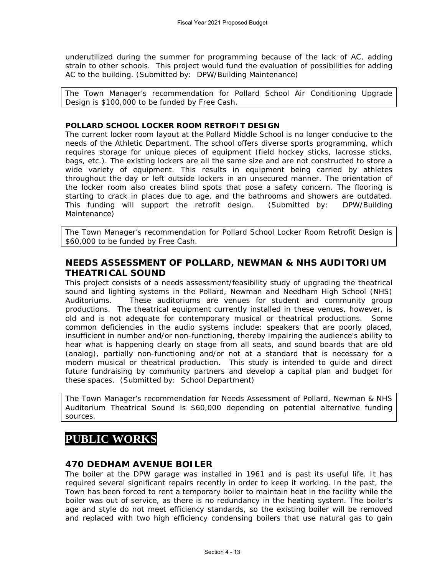underutilized during the summer for programming because of the lack of AC, adding strain to other schools. This project would fund the evaluation of possibilities for adding AC to the building. *(Submitted by: DPW/Building Maintenance)*

The Town Manager's recommendation for Pollard School Air Conditioning Upgrade Design is \$100,000 to be funded by Free Cash.

#### **POLLARD SCHOOL LOCKER ROOM RETROFIT DESIGN**

The current locker room layout at the Pollard Middle School is no longer conducive to the needs of the Athletic Department. The school offers diverse sports programming, which requires storage for unique pieces of equipment (field hockey sticks, lacrosse sticks, bags, etc.). The existing lockers are all the same size and are not constructed to store a wide variety of equipment. This results in equipment being carried by athletes throughout the day or left outside lockers in an unsecured manner. The orientation of the locker room also creates blind spots that pose a safety concern. The flooring is starting to crack in places due to age, and the bathrooms and showers are outdated. This funding will support the retrofit design. *(Submitted by: DPW/Building Maintenance)*

The Town Manager's recommendation for Pollard School Locker Room Retrofit Design is \$60,000 to be funded by Free Cash.

## **NEEDS ASSESSMENT OF POLLARD, NEWMAN & NHS AUDITORIUM THEATRICAL SOUND**

This project consists of a needs assessment/feasibility study of upgrading the theatrical sound and lighting systems in the Pollard, Newman and Needham High School (NHS) Auditoriums. These auditoriums are venues for student and community group productions. The theatrical equipment currently installed in these venues, however, is old and is not adequate for contemporary musical or theatrical productions. Some common deficiencies in the audio systems include: speakers that are poorly placed, insufficient in number and/or non-functioning, thereby impairing the audience's ability to hear what is happening clearly on stage from all seats, and sound boards that are old (analog), partially non-functioning and/or not at a standard that is necessary for a modern musical or theatrical production. This study is intended to guide and direct future fundraising by community partners and develop a capital plan and budget for these spaces. *(Submitted by: School Department)*

The Town Manager's recommendation for Needs Assessment of Pollard, Newman & NHS Auditorium Theatrical Sound is \$60,000 depending on potential alternative funding sources.

## **PUBLIC WORKS**

### **470 DEDHAM AVENUE BOILER**

The boiler at the DPW garage was installed in 1961 and is past its useful life. It has required several significant repairs recently in order to keep it working. In the past, the Town has been forced to rent a temporary boiler to maintain heat in the facility while the boiler was out of service, as there is no redundancy in the heating system. The boiler's age and style do not meet efficiency standards, so the existing boiler will be removed and replaced with two high efficiency condensing boilers that use natural gas to gain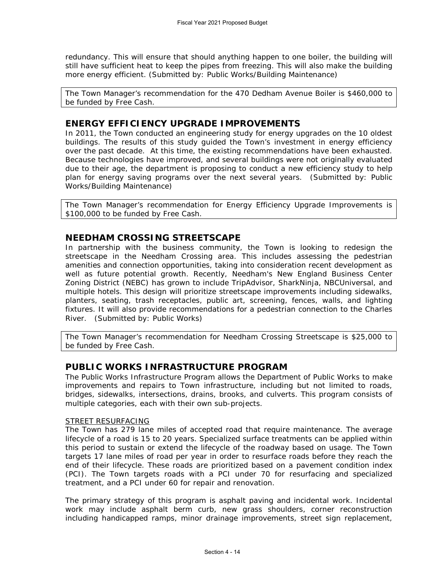redundancy. This will ensure that should anything happen to one boiler, the building will still have sufficient heat to keep the pipes from freezing. This will also make the building more energy efficient. *(Submitted by: Public Works/Building Maintenance)*

The Town Manager's recommendation for the 470 Dedham Avenue Boiler is \$460,000 to be funded by Free Cash.

### **ENERGY EFFICIENCY UPGRADE IMPROVEMENTS**

In 2011, the Town conducted an engineering study for energy upgrades on the 10 oldest buildings. The results of this study guided the Town's investment in energy efficiency over the past decade. At this time, the existing recommendations have been exhausted. Because technologies have improved, and several buildings were not originally evaluated due to their age, the department is proposing to conduct a new efficiency study to help plan for energy saving programs over the next several years. *(Submitted by: Public Works/Building Maintenance)*

The Town Manager's recommendation for Energy Efficiency Upgrade Improvements is \$100,000 to be funded by Free Cash.

### **NEEDHAM CROSSING STREETSCAPE**

In partnership with the business community, the Town is looking to redesign the streetscape in the Needham Crossing area. This includes assessing the pedestrian amenities and connection opportunities, taking into consideration recent development as well as future potential growth. Recently, Needham's New England Business Center Zoning District (NEBC) has grown to include TripAdvisor, SharkNinja, NBCUniversal, and multiple hotels. This design will prioritize streetscape improvements including sidewalks, planters, seating, trash receptacles, public art, screening, fences, walls, and lighting fixtures. It will also provide recommendations for a pedestrian connection to the Charles River. *(Submitted by: Public Works)*

The Town Manager's recommendation for Needham Crossing Streetscape is \$25,000 to be funded by Free Cash.

### **PUBLIC WORKS INFRASTRUCTURE PROGRAM**

The Public Works Infrastructure Program allows the Department of Public Works to make improvements and repairs to Town infrastructure, including but not limited to roads, bridges, sidewalks, intersections, drains, brooks, and culverts. This program consists of multiple categories, each with their own sub-projects.

#### STREET RESURFACING

The Town has 279 lane miles of accepted road that require maintenance. The average lifecycle of a road is 15 to 20 years. Specialized surface treatments can be applied within this period to sustain or extend the lifecycle of the roadway based on usage. The Town targets 17 lane miles of road per year in order to resurface roads before they reach the end of their lifecycle. These roads are prioritized based on a pavement condition index (PCI). The Town targets roads with a PCI under 70 for resurfacing and specialized treatment, and a PCI under 60 for repair and renovation.

The primary strategy of this program is asphalt paving and incidental work. Incidental work may include asphalt berm curb, new grass shoulders, corner reconstruction including handicapped ramps, minor drainage improvements, street sign replacement,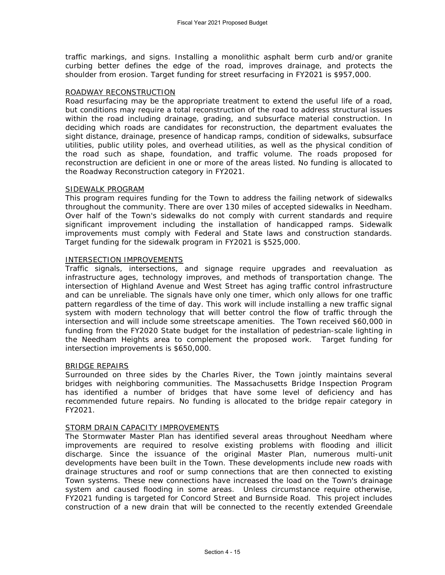traffic markings, and signs. Installing a monolithic asphalt berm curb and/or granite curbing better defines the edge of the road, improves drainage, and protects the shoulder from erosion. Target funding for street resurfacing in FY2021 is \$957,000.

#### ROADWAY RECONSTRUCTION

Road resurfacing may be the appropriate treatment to extend the useful life of a road, but conditions may require a total reconstruction of the road to address structural issues within the road including drainage, grading, and subsurface material construction. In deciding which roads are candidates for reconstruction, the department evaluates the sight distance, drainage, presence of handicap ramps, condition of sidewalks, subsurface utilities, public utility poles, and overhead utilities, as well as the physical condition of the road such as shape, foundation, and traffic volume. The roads proposed for reconstruction are deficient in one or more of the areas listed. No funding is allocated to the Roadway Reconstruction category in FY2021.

#### SIDEWALK PROGRAM

This program requires funding for the Town to address the failing network of sidewalks throughout the community. There are over 130 miles of accepted sidewalks in Needham. Over half of the Town's sidewalks do not comply with current standards and require significant improvement including the installation of handicapped ramps. Sidewalk improvements must comply with Federal and State laws and construction standards. Target funding for the sidewalk program in FY2021 is \$525,000.

#### INTERSECTION IMPROVEMENTS

Traffic signals, intersections, and signage require upgrades and reevaluation as infrastructure ages, technology improves, and methods of transportation change. The intersection of Highland Avenue and West Street has aging traffic control infrastructure and can be unreliable. The signals have only one timer, which only allows for one traffic pattern regardless of the time of day. This work will include installing a new traffic signal system with modern technology that will better control the flow of traffic through the intersection and will include some streetscape amenities. The Town received \$60,000 in funding from the FY2020 State budget for the installation of pedestrian-scale lighting in the Needham Heights area to complement the proposed work. Target funding for intersection improvements is \$650,000.

#### BRIDGE REPAIRS

Surrounded on three sides by the Charles River, the Town jointly maintains several bridges with neighboring communities. The Massachusetts Bridge Inspection Program has identified a number of bridges that have some level of deficiency and has recommended future repairs. No funding is allocated to the bridge repair category in FY2021.

#### STORM DRAIN CAPACITY IMPROVEMENTS

The Stormwater Master Plan has identified several areas throughout Needham where improvements are required to resolve existing problems with flooding and illicit discharge. Since the issuance of the original Master Plan, numerous multi-unit developments have been built in the Town. These developments include new roads with drainage structures and roof or sump connections that are then connected to existing Town systems. These new connections have increased the load on the Town's drainage system and caused flooding in some areas. Unless circumstance require otherwise, FY2021 funding is targeted for Concord Street and Burnside Road. This project includes construction of a new drain that will be connected to the recently extended Greendale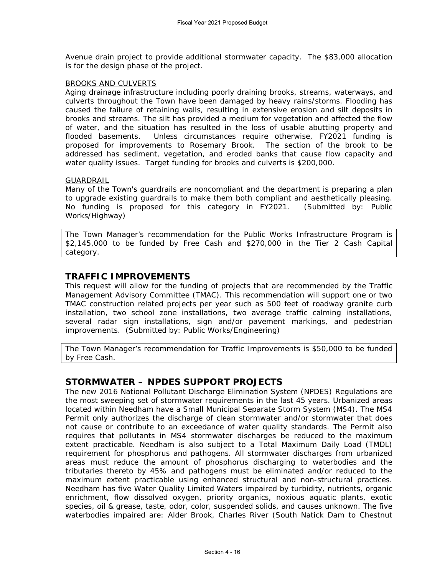Avenue drain project to provide additional stormwater capacity. The \$83,000 allocation is for the design phase of the project.

#### BROOKS AND CULVERTS

Aging drainage infrastructure including poorly draining brooks, streams, waterways, and culverts throughout the Town have been damaged by heavy rains/storms. Flooding has caused the failure of retaining walls, resulting in extensive erosion and silt deposits in brooks and streams. The silt has provided a medium for vegetation and affected the flow of water, and the situation has resulted in the loss of usable abutting property and flooded basements. Unless circumstances require otherwise, FY2021 funding is proposed for improvements to Rosemary Brook. The section of the brook to be addressed has sediment, vegetation, and eroded banks that cause flow capacity and water quality issues. Target funding for brooks and culverts is \$200,000.

#### GUARDRAIL

Many of the Town's guardrails are noncompliant and the department is preparing a plan to upgrade existing guardrails to make them both compliant and aesthetically pleasing. No funding is proposed for this category in FY2021. *(Submitted by: Public Works/Highway)*

The Town Manager's recommendation for the Public Works Infrastructure Program is \$2,145,000 to be funded by Free Cash and \$270,000 in the Tier 2 Cash Capital category.

### **TRAFFIC IMPROVEMENTS**

This request will allow for the funding of projects that are recommended by the Traffic Management Advisory Committee (TMAC). This recommendation will support one or two TMAC construction related projects per year such as 500 feet of roadway granite curb installation, two school zone installations, two average traffic calming installations, several radar sign installations, sign and/or pavement markings, and pedestrian improvements. *(Submitted by: Public Works/Engineering)*

The Town Manager's recommendation for Traffic Improvements is \$50,000 to be funded by Free Cash.

### **STORMWATER – NPDES SUPPORT PROJECTS**

The new 2016 National Pollutant Discharge Elimination System (NPDES) Regulations are the most sweeping set of stormwater requirements in the last 45 years. Urbanized areas located within Needham have a Small Municipal Separate Storm System (MS4). The MS4 Permit only authorizes the discharge of clean stormwater and/or stormwater that does not cause or contribute to an exceedance of water quality standards. The Permit also requires that pollutants in MS4 stormwater discharges be reduced to the maximum extent practicable. Needham is also subject to a Total Maximum Daily Load (TMDL) requirement for phosphorus and pathogens. All stormwater discharges from urbanized areas must reduce the amount of phosphorus discharging to waterbodies and the tributaries thereto by 45% and pathogens must be eliminated and/or reduced to the maximum extent practicable using enhanced structural and non-structural practices. Needham has five Water Quality Limited Waters impaired by turbidity, nutrients, organic enrichment, flow dissolved oxygen, priority organics, noxious aquatic plants, exotic species, oil & grease, taste, odor, color, suspended solids, and causes unknown. The five waterbodies impaired are: Alder Brook, Charles River (South Natick Dam to Chestnut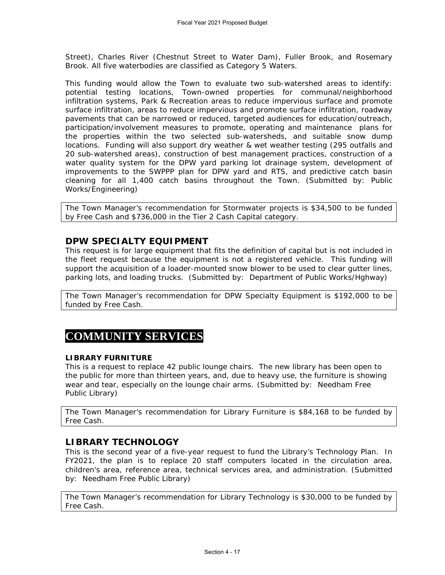Street), Charles River (Chestnut Street to Water Dam), Fuller Brook, and Rosemary Brook. All five waterbodies are classified as Category 5 Waters.

This funding would allow the Town to evaluate two sub-watershed areas to identify: potential testing locations, Town-owned properties for communal/neighborhood infiltration systems, Park & Recreation areas to reduce impervious surface and promote surface infiltration, areas to reduce impervious and promote surface infiltration, roadway pavements that can be narrowed or reduced, targeted audiences for education/outreach, participation/involvement measures to promote, operating and maintenance plans for the properties within the two selected sub-watersheds, and suitable snow dump locations. Funding will also support dry weather & wet weather testing (295 outfalls and 20 sub-watershed areas), construction of best management practices, construction of a water quality system for the DPW yard parking lot drainage system, development of improvements to the SWPPP plan for DPW yard and RTS, and predictive catch basin cleaning for all 1,400 catch basins throughout the Town. *(Submitted by: Public Works/Engineering)* 

The Town Manager's recommendation for Stormwater projects is \$34,500 to be funded by Free Cash and \$736,000 in the Tier 2 Cash Capital category.

## **DPW SPECIALTY EQUIPMENT**

This request is for large equipment that fits the definition of capital but is not included in the fleet request because the equipment is not a registered vehicle. This funding will support the acquisition of a loader-mounted snow blower to be used to clear gutter lines, parking lots, and loading trucks. *(Submitted by: Department of Public Works/Hghway)* 

The Town Manager's recommendation for DPW Specialty Equipment is \$192,000 to be funded by Free Cash.

## **COMMUNITY SERVICES**

#### **LIBRARY FURNITURE**

This is a request to replace 42 public lounge chairs. The new library has been open to the public for more than thirteen years, and, due to heavy use, the furniture is showing wear and tear, especially on the lounge chair arms. *(Submitted by: Needham Free Public Library)*

The Town Manager's recommendation for Library Furniture is \$84,168 to be funded by Free Cash.

## **LIBRARY TECHNOLOGY**

This is the second year of a five-year request to fund the Library's Technology Plan. In FY2021, the plan is to replace 20 staff computers located in the circulation area, children's area, reference area, technical services area, and administration. *(Submitted by: Needham Free Public Library)*

The Town Manager's recommendation for Library Technology is \$30,000 to be funded by Free Cash.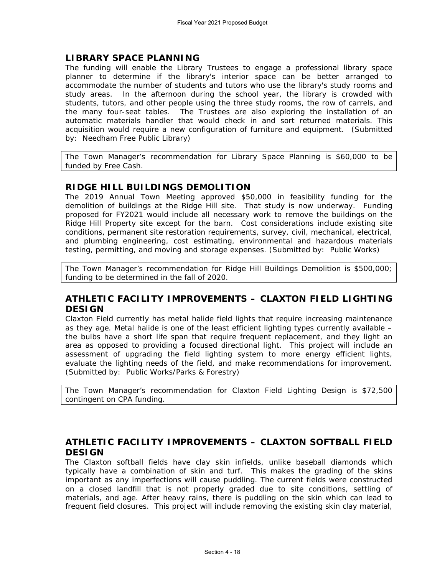### **LIBRARY SPACE PLANNING**

The funding will enable the Library Trustees to engage a professional library space planner to determine if the library's interior space can be better arranged to accommodate the number of students and tutors who use the library's study rooms and study areas. In the afternoon during the school year, the library is crowded with students, tutors, and other people using the three study rooms, the row of carrels, and the many four-seat tables. The Trustees are also exploring the installation of an automatic materials handler that would check in and sort returned materials. This acquisition would require a new configuration of furniture and equipment. *(Submitted by: Needham Free Public Library)*

The Town Manager's recommendation for Library Space Planning is \$60,000 to be funded by Free Cash.

## **RIDGE HILL BUILDINGS DEMOLITION**

The 2019 Annual Town Meeting approved \$50,000 in feasibility funding for the demolition of buildings at the Ridge Hill site. That study is now underway. Funding proposed for FY2021 would include all necessary work to remove the buildings on the Ridge Hill Property site except for the barn. Cost considerations include existing site conditions, permanent site restoration requirements, survey, civil, mechanical, electrical, and plumbing engineering, cost estimating, environmental and hazardous materials testing, permitting, and moving and storage expenses. *(Submitted by: Public Works)*

The Town Manager's recommendation for Ridge Hill Buildings Demolition is \$500,000; funding to be determined in the fall of 2020.

## **ATHLETIC FACILITY IMPROVEMENTS – CLAXTON FIELD LIGHTING DESIGN**

Claxton Field currently has metal halide field lights that require increasing maintenance as they age. Metal halide is one of the least efficient lighting types currently available – the bulbs have a short life span that require frequent replacement, and they light an area as opposed to providing a focused directional light. This project will include an assessment of upgrading the field lighting system to more energy efficient lights, evaluate the lighting needs of the field, and make recommendations for improvement. *(Submitted by: Public Works/Parks & Forestry)*

The Town Manager's recommendation for Claxton Field Lighting Design is \$72,500 contingent on CPA funding.

### **ATHLETIC FACILITY IMPROVEMENTS – CLAXTON SOFTBALL FIELD DESIGN**

The Claxton softball fields have clay skin infields, unlike baseball diamonds which typically have a combination of skin and turf. This makes the grading of the skins important as any imperfections will cause puddling. The current fields were constructed on a closed landfill that is not properly graded due to site conditions, settling of materials, and age. After heavy rains, there is puddling on the skin which can lead to frequent field closures. This project will include removing the existing skin clay material,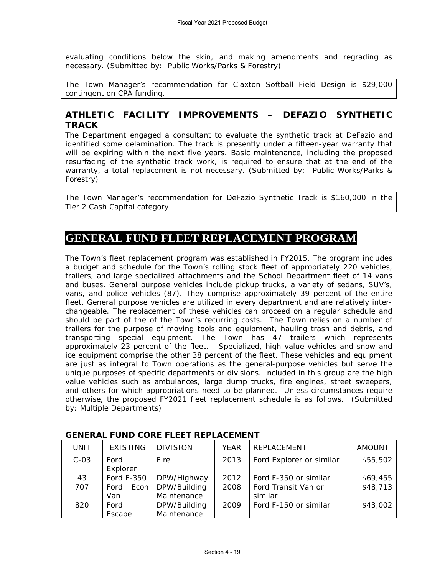evaluating conditions below the skin, and making amendments and regrading as necessary. *(Submitted by: Public Works/Parks & Forestry)*

The Town Manager's recommendation for Claxton Softball Field Design is \$29,000 contingent on CPA funding.

## **ATHLETIC FACILITY IMPROVEMENTS – DEFAZIO SYNTHETIC TRACK**

The Department engaged a consultant to evaluate the synthetic track at DeFazio and identified some delamination. The track is presently under a fifteen-year warranty that will be expiring within the next five years. Basic maintenance, including the proposed resurfacing of the synthetic track work, is required to ensure that at the end of the warranty, a total replacement is not necessary. *(Submitted by: Public Works/Parks & Forestry)*

The Town Manager's recommendation for DeFazio Synthetic Track is \$160,000 in the Tier 2 Cash Capital category.

## **GENERAL FUND FLEET REPLACEMENT PROGRAM**

The Town's fleet replacement program was established in FY2015. The program includes a budget and schedule for the Town's rolling stock fleet of appropriately 220 vehicles, trailers, and large specialized attachments and the School Department fleet of 14 vans and buses. General purpose vehicles include pickup trucks, a variety of sedans, SUV's, vans, and police vehicles (87). They comprise approximately 39 percent of the entire fleet. General purpose vehicles are utilized in every department and are relatively interchangeable. The replacement of these vehicles can proceed on a regular schedule and should be part of the of the Town's recurring costs. The Town relies on a number of trailers for the purpose of moving tools and equipment, hauling trash and debris, and transporting special equipment. The Town has 47 trailers which represents approximately 23 percent of the fleet. Specialized, high value vehicles and snow and ice equipment comprise the other 38 percent of the fleet. These vehicles and equipment are just as integral to Town operations as the general-purpose vehicles but serve the unique purposes of specific departments or divisions. Included in this group are the high value vehicles such as ambulances, large dump trucks, fire engines, street sweepers, and others for which appropriations need to be planned. Unless circumstances require otherwise, the proposed FY2021 fleet replacement schedule is as follows. *(Submitted by: Multiple Departments)*

| UNIT   | <b>EXISTING</b>     | <b>DIVISION</b>             | <b>YEAR</b> | REPLACEMENT                    | <b>AMOUNT</b> |
|--------|---------------------|-----------------------------|-------------|--------------------------------|---------------|
| $C-03$ | Ford<br>Explorer    | Fire                        | 2013        | Ford Explorer or similar       | \$55,502      |
| 43     | <b>Ford F-350</b>   | DPW/Highway                 | 2012        | Ford F-350 or similar          | \$69,455      |
| 707    | Econ<br>Ford<br>Van | DPW/Building<br>Maintenance | 2008        | Ford Transit Van or<br>similar | \$48,713      |
| 820    | Ford<br>Escape      | DPW/Building<br>Maintenance | 2009        | Ford F-150 or similar          | \$43,002      |

|  |  |  |  |  | <b>GENERAL FUND CORE FLEET REPLACEMENT</b> |
|--|--|--|--|--|--------------------------------------------|
|--|--|--|--|--|--------------------------------------------|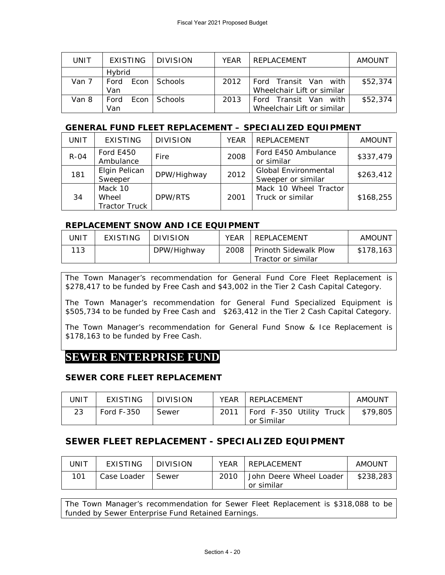| UNIT  | EXISTING     | <b>DIVISION</b> | <b>YFAR</b> | REPLACEMENT                | <b>AMOUNT</b> |
|-------|--------------|-----------------|-------------|----------------------------|---------------|
|       | Hybrid       |                 |             |                            |               |
| Van 7 | Ford<br>Econ | l Schools       | 2012        | Ford Transit Van with      | \$52,374      |
|       | Van          |                 |             | Wheelchair Lift or similar |               |
| Van 8 | Ford<br>Econ | Schools         | 2013        | with<br>Ford Transit Van   | \$52,374      |
|       | Van          |                 |             | Wheelchair Lift or similar |               |

### **GENERAL FUND FLEET REPLACEMENT – SPECIALIZED EQUIPMENT**

| <b>UNIT</b> | <b>EXISTING</b>                          | <b>DIVISION</b> | <b>YFAR</b> | REPLACEMENT                                       | <b>AMOUNT</b> |
|-------------|------------------------------------------|-----------------|-------------|---------------------------------------------------|---------------|
| $R-04$      | Ford E450<br>Ambulance                   | Fire            | 2008        | Ford E450 Ambulance<br>or similar                 | \$337,479     |
| 181         | Elgin Pelican<br>Sweeper                 | DPW/Highway     | 2012        | <b>Global Environmental</b><br>Sweeper or similar | \$263,412     |
| 34          | Mack 10<br>Wheel<br><b>Tractor Truck</b> | DPW/RTS         | 2001        | Mack 10 Wheel Tractor<br>Truck or similar         | \$168,255     |

### **REPLACEMENT SNOW AND ICE EQUIPMENT**

| JNIT | <b>FXISTING</b> | <b>DIVISION</b> | <b>YEAR</b> | REPLACEMENT                                        | AMOUNT    |
|------|-----------------|-----------------|-------------|----------------------------------------------------|-----------|
| 113  |                 | DPW/Highway     | 2008        | <b>Prinoth Sidewalk Plow</b><br>Tractor or similar | \$178,163 |

The Town Manager's recommendation for General Fund Core Fleet Replacement is \$278,417 to be funded by Free Cash and \$43,002 in the Tier 2 Cash Capital Category.

The Town Manager's recommendation for General Fund Specialized Equipment is \$505,734 to be funded by Free Cash and \$263,412 in the Tier 2 Cash Capital Category.

The Town Manager's recommendation for General Fund Snow & Ice Replacement is \$178,163 to be funded by Free Cash.

## **SEWER ENTERPRISE FUND**

### **SEWER CORE FLEET REPLACEMENT**

| UNIT | EXISTING          | <b>DIVISION</b> | <b>YEAR</b> | REPLACEMENT                            | AMOUNT   |
|------|-------------------|-----------------|-------------|----------------------------------------|----------|
| 23   | <b>Ford F-350</b> | Sewer           | 2011        | Ford F-350 Utility Truck<br>or Similar | \$79,805 |

## **SEWER FLEET REPLACEMENT - SPECIALIZED EQUIPMENT**

| JNIT | <b>FXISTING</b> | <b>DIVISION</b> | YEAR | REPLACEMENT                           | <b>AMOUNT</b> |
|------|-----------------|-----------------|------|---------------------------------------|---------------|
| 101  | Case Loader     | Sewer           | 2010 | John Deere Wheel Loader<br>or similar | \$238,283     |

The Town Manager's recommendation for Sewer Fleet Replacement is \$318,088 to be funded by Sewer Enterprise Fund Retained Earnings.